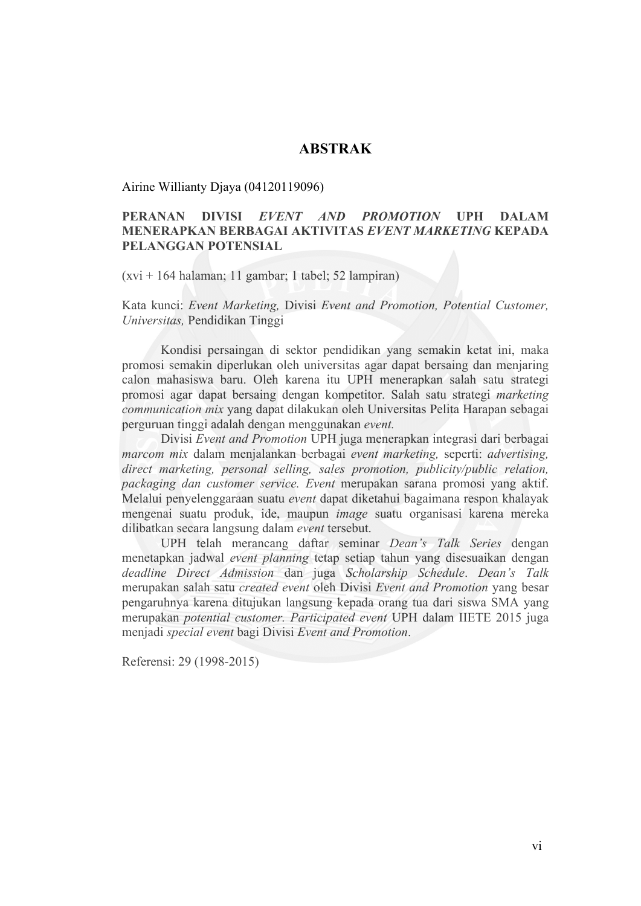## **ABSTRAK**

Airine Willianty Djaya (04120119096)

## **PERANAN DIVISI** *EVENT AND PROMOTION* **UPH DALAM MENERAPKAN BERBAGAI AKTIVITAS** *EVENT MARKETING* **KEPADA PELANGGAN POTENSIAL**

(xvi + 164 halaman; 11 gambar; 1 tabel; 52 lampiran)

Kata kunci: *Event Marketing,* Divisi *Event and Promotion, Potential Customer, Universitas,* Pendidikan Tinggi

Kondisi persaingan di sektor pendidikan yang semakin ketat ini, maka promosi semakin diperlukan oleh universitas agar dapat bersaing dan menjaring calon mahasiswa baru. Oleh karena itu UPH menerapkan salah satu strategi promosi agar dapat bersaing dengan kompetitor. Salah satu strategi *marketing communication mix* yang dapat dilakukan oleh Universitas Pelita Harapan sebagai perguruan tinggi adalah dengan menggunakan *event.*

Divisi *Event and Promotion* UPH juga menerapkan integrasi dari berbagai *marcom mix* dalam menjalankan berbagai *event marketing,* seperti: *advertising, direct marketing, personal selling, sales promotion, publicity/public relation, packaging dan customer service. Event* merupakan sarana promosi yang aktif. Melalui penyelenggaraan suatu *event* dapat diketahui bagaimana respon khalayak mengenai suatu produk, ide, maupun *image* suatu organisasi karena mereka dilibatkan secara langsung dalam *event* tersebut.

UPH telah merancang daftar seminar *Dean's Talk Series* dengan menetapkan jadwal *event planning* tetap setiap tahun yang disesuaikan dengan *deadline Direct Admission* dan juga *Scholarship Schedule*. *Dean's Talk*  merupakan salah satu *created event* oleh Divisi *Event and Promotion* yang besar pengaruhnya karena ditujukan langsung kepada orang tua dari siswa SMA yang merupakan *potential customer. Participated event* UPH dalam IIETE 2015 juga menjadi *special event* bagi Divisi *Event and Promotion*.

Referensi: 29 (1998-2015)